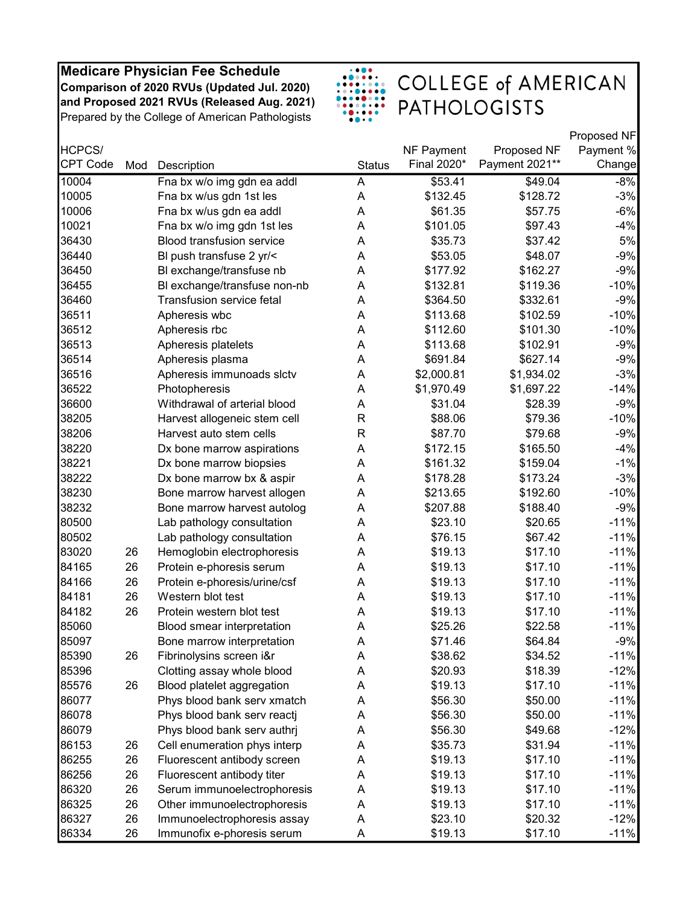

|          |     |                                  |               |             |                | Proposed NF |
|----------|-----|----------------------------------|---------------|-------------|----------------|-------------|
| HCPCS/   |     |                                  |               | NF Payment  | Proposed NF    | Payment %   |
| CPT Code | Mod | Description                      | <b>Status</b> | Final 2020* | Payment 2021** | Change      |
| 10004    |     | Fna bx w/o img gdn ea addl       | A             | \$53.41     | \$49.04        | $-8%$       |
| 10005    |     | Fna bx w/us gdn 1st les          | A             | \$132.45    | \$128.72       | $-3%$       |
| 10006    |     | Fna bx w/us gdn ea addl          | A             | \$61.35     | \$57.75        | $-6%$       |
| 10021    |     | Fna bx w/o img gdn 1st les       | A             | \$101.05    | \$97.43        | $-4%$       |
| 36430    |     | <b>Blood transfusion service</b> | A             | \$35.73     | \$37.42        | 5%          |
| 36440    |     | BI push transfuse 2 yr/<         | A             | \$53.05     | \$48.07        | $-9%$       |
| 36450    |     | BI exchange/transfuse nb         | A             | \$177.92    | \$162.27       | $-9%$       |
| 36455    |     | BI exchange/transfuse non-nb     | A             | \$132.81    | \$119.36       | $-10%$      |
| 36460    |     | Transfusion service fetal        | A             | \$364.50    | \$332.61       | $-9%$       |
| 36511    |     | Apheresis wbc                    | A             | \$113.68    | \$102.59       | $-10%$      |
| 36512    |     | Apheresis rbc                    | A             | \$112.60    | \$101.30       | $-10%$      |
| 36513    |     | Apheresis platelets              | A             | \$113.68    | \$102.91       | $-9%$       |
| 36514    |     | Apheresis plasma                 | A             | \$691.84    | \$627.14       | $-9%$       |
| 36516    |     | Apheresis immunoads slctv        | Α             | \$2,000.81  | \$1,934.02     | $-3%$       |
| 36522    |     | Photopheresis                    | A             | \$1,970.49  | \$1,697.22     | $-14%$      |
| 36600    |     | Withdrawal of arterial blood     | A             | \$31.04     | \$28.39        | $-9%$       |
| 38205    |     | Harvest allogeneic stem cell     | R             | \$88.06     | \$79.36        | $-10%$      |
| 38206    |     | Harvest auto stem cells          | R             | \$87.70     | \$79.68        | $-9%$       |
| 38220    |     | Dx bone marrow aspirations       | A             | \$172.15    | \$165.50       | $-4%$       |
| 38221    |     | Dx bone marrow biopsies          | A             | \$161.32    | \$159.04       | $-1%$       |
| 38222    |     | Dx bone marrow bx & aspir        | A             | \$178.28    | \$173.24       | $-3%$       |
| 38230    |     | Bone marrow harvest allogen      | A             | \$213.65    | \$192.60       | $-10%$      |
| 38232    |     | Bone marrow harvest autolog      | A             | \$207.88    | \$188.40       | $-9%$       |
| 80500    |     | Lab pathology consultation       | A             | \$23.10     | \$20.65        | $-11%$      |
| 80502    |     | Lab pathology consultation       | A             | \$76.15     | \$67.42        | $-11%$      |
| 83020    | 26  | Hemoglobin electrophoresis       | A             | \$19.13     | \$17.10        | $-11%$      |
| 84165    | 26  | Protein e-phoresis serum         | A             | \$19.13     | \$17.10        | $-11%$      |
| 84166    | 26  | Protein e-phoresis/urine/csf     | A             | \$19.13     | \$17.10        | $-11%$      |
| 84181    | 26  | Western blot test                | A             | \$19.13     | \$17.10        | $-11%$      |
| 84182    | 26  | Protein western blot test        | A             | \$19.13     | \$17.10        | $-11%$      |
| 85060    |     | Blood smear interpretation       | A             | \$25.26     | \$22.58        | $-11%$      |
| 85097    |     | Bone marrow interpretation       | Α             | \$71.46     | \$64.84        | $-9%$       |
| 85390    | 26  | Fibrinolysins screen i&r         | Α             | \$38.62     | \$34.52        | $-11%$      |
| 85396    |     | Clotting assay whole blood       | Α             | \$20.93     | \$18.39        | $-12%$      |
| 85576    | 26  | Blood platelet aggregation       | Α             | \$19.13     | \$17.10        | $-11%$      |
| 86077    |     | Phys blood bank serv xmatch      | A             | \$56.30     | \$50.00        | $-11%$      |
| 86078    |     | Phys blood bank serv reactj      | A             | \$56.30     | \$50.00        | $-11%$      |
| 86079    |     | Phys blood bank serv authrj      | Α             | \$56.30     | \$49.68        | $-12%$      |
| 86153    | 26  | Cell enumeration phys interp     | Α             | \$35.73     | \$31.94        | $-11%$      |
| 86255    | 26  | Fluorescent antibody screen      | Α             | \$19.13     | \$17.10        | $-11%$      |
| 86256    | 26  | Fluorescent antibody titer       | A             | \$19.13     | \$17.10        | $-11%$      |
| 86320    | 26  | Serum immunoelectrophoresis      | A             | \$19.13     | \$17.10        | $-11%$      |
| 86325    | 26  | Other immunoelectrophoresis      | Α             | \$19.13     | \$17.10        | $-11%$      |
| 86327    | 26  | Immunoelectrophoresis assay      | A             | \$23.10     | \$20.32        | $-12%$      |
| 86334    | 26  | Immunofix e-phoresis serum       | Α             | \$19.13     | \$17.10        | $-11%$      |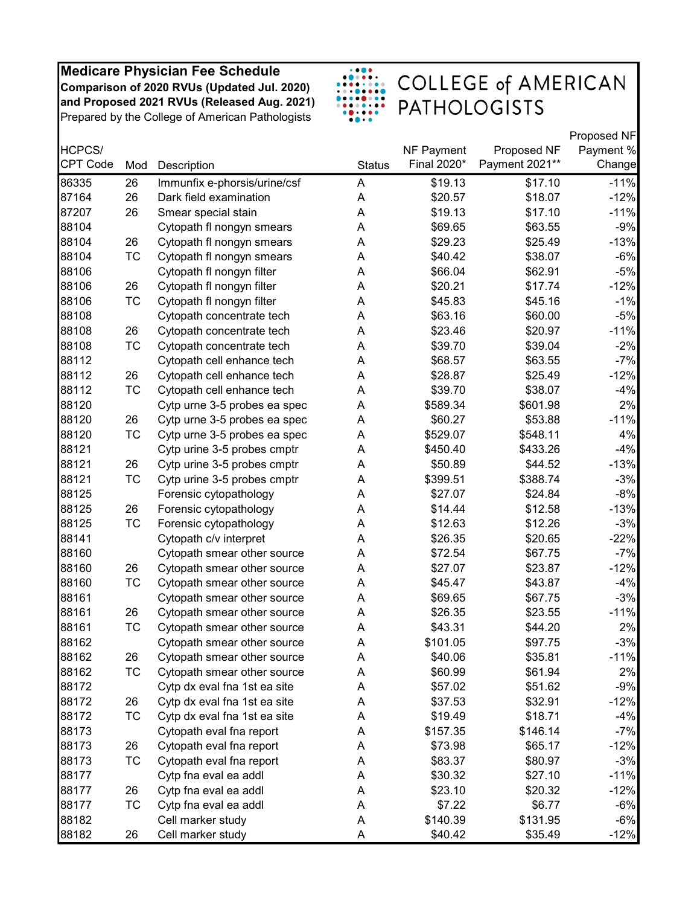

|          |           |                              |               |             |                | Proposed NF |
|----------|-----------|------------------------------|---------------|-------------|----------------|-------------|
| HCPCS/   |           |                              |               | NF Payment  | Proposed NF    | Payment %   |
| CPT Code | Mod       | Description                  | <b>Status</b> | Final 2020* | Payment 2021** | Change      |
| 86335    | 26        | Immunfix e-phorsis/urine/csf | A             | \$19.13     | \$17.10        | $-11%$      |
| 87164    | 26        | Dark field examination       | A             | \$20.57     | \$18.07        | $-12%$      |
| 87207    | 26        | Smear special stain          | A             | \$19.13     | \$17.10        | $-11%$      |
| 88104    |           | Cytopath fl nongyn smears    | A             | \$69.65     | \$63.55        | $-9%$       |
| 88104    | 26        | Cytopath fl nongyn smears    | A             | \$29.23     | \$25.49        | $-13%$      |
| 88104    | TC        | Cytopath fl nongyn smears    | A             | \$40.42     | \$38.07        | $-6%$       |
| 88106    |           | Cytopath fl nongyn filter    | Α             | \$66.04     | \$62.91        | $-5%$       |
| 88106    | 26        | Cytopath fl nongyn filter    | A             | \$20.21     | \$17.74        | $-12%$      |
| 88106    | <b>TC</b> | Cytopath fl nongyn filter    | A             | \$45.83     | \$45.16        | $-1%$       |
| 88108    |           | Cytopath concentrate tech    | A             | \$63.16     | \$60.00        | $-5%$       |
| 88108    | 26        | Cytopath concentrate tech    | A             | \$23.46     | \$20.97        | $-11%$      |
| 88108    | TC        | Cytopath concentrate tech    | A             | \$39.70     | \$39.04        | $-2%$       |
| 88112    |           | Cytopath cell enhance tech   | A             | \$68.57     | \$63.55        | $-7%$       |
| 88112    | 26        | Cytopath cell enhance tech   | A             | \$28.87     | \$25.49        | $-12%$      |
| 88112    | <b>TC</b> | Cytopath cell enhance tech   | A             | \$39.70     | \$38.07        | $-4%$       |
| 88120    |           | Cytp urne 3-5 probes ea spec | A             | \$589.34    | \$601.98       | 2%          |
| 88120    | 26        | Cytp urne 3-5 probes ea spec | A             | \$60.27     | \$53.88        | $-11%$      |
| 88120    | <b>TC</b> | Cytp urne 3-5 probes ea spec | Α             | \$529.07    | \$548.11       | 4%          |
| 88121    |           | Cytp urine 3-5 probes cmptr  | A             | \$450.40    | \$433.26       | $-4%$       |
| 88121    | 26        | Cytp urine 3-5 probes cmptr  | A             | \$50.89     | \$44.52        | $-13%$      |
| 88121    | TC        | Cytp urine 3-5 probes cmptr  | A             | \$399.51    | \$388.74       | $-3%$       |
| 88125    |           | Forensic cytopathology       | A             | \$27.07     | \$24.84        | $-8%$       |
| 88125    | 26        | Forensic cytopathology       | A             | \$14.44     | \$12.58        | $-13%$      |
| 88125    | TC        | Forensic cytopathology       | A             | \$12.63     | \$12.26        | $-3%$       |
| 88141    |           | Cytopath c/v interpret       | A             | \$26.35     | \$20.65        | $-22%$      |
| 88160    |           | Cytopath smear other source  | A             | \$72.54     | \$67.75        | $-7%$       |
| 88160    | 26        | Cytopath smear other source  | A             | \$27.07     | \$23.87        | $-12%$      |
| 88160    | <b>TC</b> | Cytopath smear other source  | A             | \$45.47     | \$43.87        | $-4%$       |
| 88161    |           | Cytopath smear other source  | A             | \$69.65     | \$67.75        | $-3%$       |
| 88161    | 26        | Cytopath smear other source  | A             | \$26.35     | \$23.55        | $-11%$      |
| 88161    | <b>TC</b> | Cytopath smear other source  | A             | \$43.31     | \$44.20        | 2%          |
| 88162    |           | Cytopath smear other source  | A             | \$101.05    | \$97.75        | $-3%$       |
| 88162    | 26        | Cytopath smear other source  | Α             | \$40.06     | \$35.81        | $-11%$      |
| 88162    | <b>TC</b> | Cytopath smear other source  | Α             | \$60.99     | \$61.94        | 2%          |
| 88172    |           | Cytp dx eval fna 1st ea site | A             | \$57.02     | \$51.62        | $-9%$       |
| 88172    | 26        | Cytp dx eval fna 1st ea site | A             | \$37.53     | \$32.91        | $-12%$      |
| 88172    | TC        | Cytp dx eval fna 1st ea site | A             | \$19.49     | \$18.71        | $-4%$       |
| 88173    |           | Cytopath eval fna report     | A             | \$157.35    | \$146.14       | $-7%$       |
| 88173    | 26        | Cytopath eval fna report     | A             | \$73.98     | \$65.17        | $-12%$      |
| 88173    | TC        | Cytopath eval fna report     | A             | \$83.37     | \$80.97        | $-3%$       |
| 88177    |           | Cytp fna eval ea addl        | A             | \$30.32     | \$27.10        | $-11%$      |
| 88177    | 26        | Cytp fna eval ea addl        | A             | \$23.10     | \$20.32        | $-12%$      |
| 88177    | <b>TC</b> | Cytp fna eval ea addl        | Α             | \$7.22      | \$6.77         | $-6%$       |
| 88182    |           | Cell marker study            | A             | \$140.39    | \$131.95       | $-6%$       |
| 88182    | 26        | Cell marker study            | A             | \$40.42     | \$35.49        | $-12%$      |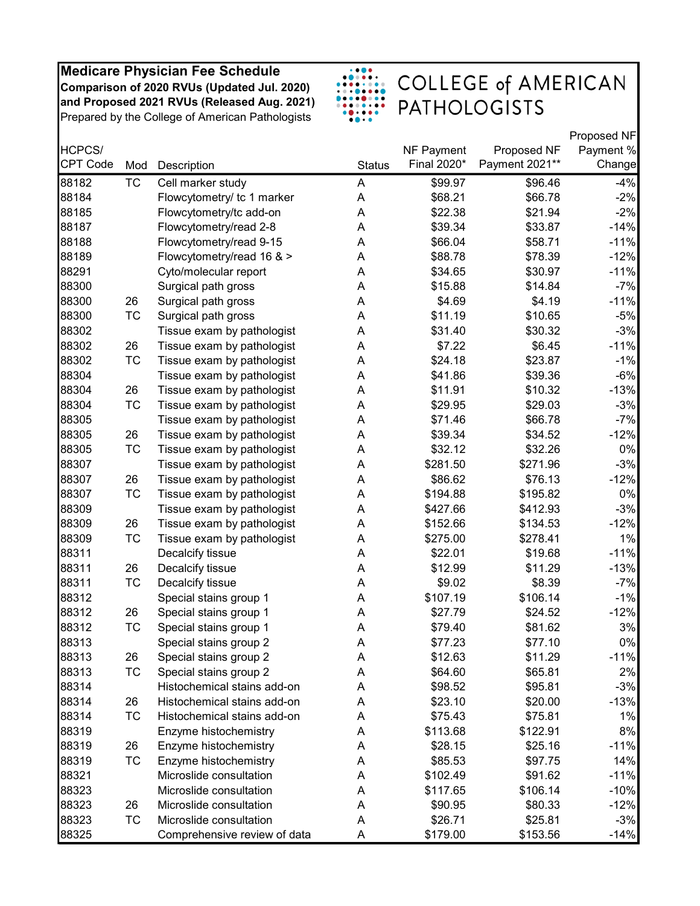

|          |           |                              |               |             |                | Proposed NF |
|----------|-----------|------------------------------|---------------|-------------|----------------|-------------|
| HCPCS/   |           |                              |               | NF Payment  | Proposed NF    | Payment %   |
| CPT Code | Mod       | Description                  | <b>Status</b> | Final 2020* | Payment 2021** | Change      |
| 88182    | <b>TC</b> | Cell marker study            | A             | \$99.97     | \$96.46        | $-4%$       |
| 88184    |           | Flowcytometry/ tc 1 marker   | A             | \$68.21     | \$66.78        | $-2%$       |
| 88185    |           | Flowcytometry/tc add-on      | A             | \$22.38     | \$21.94        | $-2%$       |
| 88187    |           | Flowcytometry/read 2-8       | Α             | \$39.34     | \$33.87        | $-14%$      |
| 88188    |           | Flowcytometry/read 9-15      | A             | \$66.04     | \$58.71        | $-11%$      |
| 88189    |           | Flowcytometry/read 16 & >    | A             | \$88.78     | \$78.39        | $-12%$      |
| 88291    |           | Cyto/molecular report        | A             | \$34.65     | \$30.97        | $-11%$      |
| 88300    |           | Surgical path gross          | A             | \$15.88     | \$14.84        | $-7%$       |
| 88300    | 26        | Surgical path gross          | A             | \$4.69      | \$4.19         | $-11%$      |
| 88300    | TC        | Surgical path gross          | A             | \$11.19     | \$10.65        | $-5%$       |
| 88302    |           | Tissue exam by pathologist   | A             | \$31.40     | \$30.32        | $-3%$       |
| 88302    | 26        | Tissue exam by pathologist   | A             | \$7.22      | \$6.45         | $-11%$      |
| 88302    | <b>TC</b> | Tissue exam by pathologist   | A             | \$24.18     | \$23.87        | $-1%$       |
| 88304    |           | Tissue exam by pathologist   | A             | \$41.86     | \$39.36        | $-6%$       |
| 88304    | 26        | Tissue exam by pathologist   | Α             | \$11.91     | \$10.32        | $-13%$      |
| 88304    | TC        | Tissue exam by pathologist   | A             | \$29.95     | \$29.03        | $-3%$       |
| 88305    |           | Tissue exam by pathologist   | A             | \$71.46     | \$66.78        | $-7%$       |
| 88305    | 26        | Tissue exam by pathologist   | Α             | \$39.34     | \$34.52        | $-12%$      |
| 88305    | <b>TC</b> | Tissue exam by pathologist   | A             | \$32.12     | \$32.26        | 0%          |
| 88307    |           | Tissue exam by pathologist   | A             | \$281.50    | \$271.96       | $-3%$       |
| 88307    | 26        | Tissue exam by pathologist   | Α             | \$86.62     | \$76.13        | $-12%$      |
| 88307    | <b>TC</b> | Tissue exam by pathologist   | Α             | \$194.88    | \$195.82       | 0%          |
| 88309    |           | Tissue exam by pathologist   | Α             | \$427.66    | \$412.93       | $-3%$       |
| 88309    | 26        | Tissue exam by pathologist   | A             | \$152.66    | \$134.53       | $-12%$      |
| 88309    | <b>TC</b> | Tissue exam by pathologist   | A             | \$275.00    | \$278.41       | 1%          |
| 88311    |           | Decalcify tissue             | A             | \$22.01     | \$19.68        | $-11%$      |
| 88311    | 26        | Decalcify tissue             | A             | \$12.99     | \$11.29        | $-13%$      |
| 88311    | TC        | Decalcify tissue             | A             | \$9.02      | \$8.39         | -7%         |
| 88312    |           | Special stains group 1       | A             | \$107.19    | \$106.14       | $-1%$       |
| 88312    | 26        | Special stains group 1       | A             | \$27.79     | \$24.52        | $-12%$      |
| 88312    | TC        | Special stains group 1       | Α             | \$79.40     | \$81.62        | 3%          |
| 88313    |           | Special stains group 2       | A             | \$77.23     | \$77.10        | 0%          |
| 88313    | 26        | Special stains group 2       | Α             | \$12.63     | \$11.29        | $-11%$      |
| 88313    | TC        | Special stains group 2       | A             | \$64.60     | \$65.81        | 2%          |
| 88314    |           | Histochemical stains add-on  | A             | \$98.52     | \$95.81        | $-3%$       |
| 88314    | 26        | Histochemical stains add-on  | A             | \$23.10     | \$20.00        | $-13%$      |
| 88314    | <b>TC</b> | Histochemical stains add-on  | A             | \$75.43     | \$75.81        | 1%          |
| 88319    |           | Enzyme histochemistry        | A             | \$113.68    | \$122.91       | 8%          |
| 88319    | 26        | Enzyme histochemistry        | A             | \$28.15     | \$25.16        | $-11%$      |
| 88319    | <b>TC</b> | Enzyme histochemistry        | A             | \$85.53     | \$97.75        | 14%         |
| 88321    |           | Microslide consultation      | A             | \$102.49    | \$91.62        | $-11%$      |
| 88323    |           | Microslide consultation      | A             | \$117.65    | \$106.14       | $-10%$      |
| 88323    | 26        | Microslide consultation      | Α             | \$90.95     | \$80.33        | $-12%$      |
| 88323    | TC        | Microslide consultation      | Α             | \$26.71     | \$25.81        | $-3%$       |
| 88325    |           | Comprehensive review of data | A             | \$179.00    | \$153.56       | $-14%$      |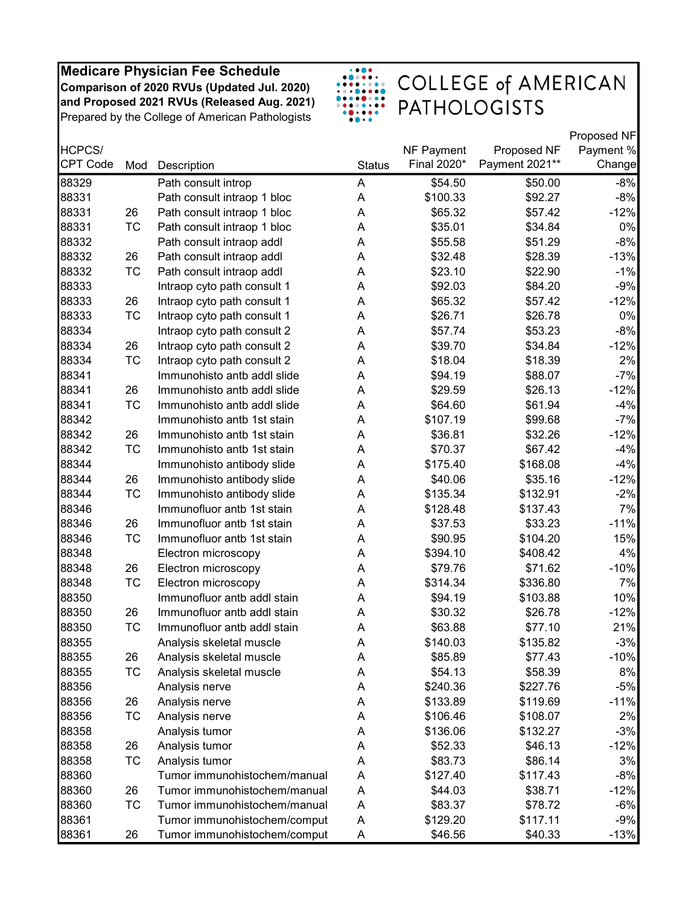

|                 |           |                              |               |             |                | Proposed NF |
|-----------------|-----------|------------------------------|---------------|-------------|----------------|-------------|
| HCPCS/          |           |                              |               | NF Payment  | Proposed NF    | Payment %   |
| <b>CPT Code</b> | Mod       | Description                  | <b>Status</b> | Final 2020* | Payment 2021** | Change      |
| 88329           |           | Path consult introp          | A             | \$54.50     | \$50.00        | $-8%$       |
| 88331           |           | Path consult intraop 1 bloc  | A             | \$100.33    | \$92.27        | $-8%$       |
| 88331           | 26        | Path consult intraop 1 bloc  | Α             | \$65.32     | \$57.42        | $-12%$      |
| 88331           | TC        | Path consult intraop 1 bloc  | A             | \$35.01     | \$34.84        | 0%          |
| 88332           |           | Path consult intraop addl    | A             | \$55.58     | \$51.29        | $-8%$       |
| 88332           | 26        | Path consult intraop addl    | A             | \$32.48     | \$28.39        | $-13%$      |
| 88332           | TC        | Path consult intraop addl    | A             | \$23.10     | \$22.90        | $-1%$       |
| 88333           |           | Intraop cyto path consult 1  | A             | \$92.03     | \$84.20        | $-9%$       |
| 88333           | 26        | Intraop cyto path consult 1  | A             | \$65.32     | \$57.42        | $-12%$      |
| 88333           | TC        | Intraop cyto path consult 1  | A             | \$26.71     | \$26.78        | 0%          |
| 88334           |           | Intraop cyto path consult 2  | A             | \$57.74     | \$53.23        | $-8%$       |
| 88334           | 26        | Intraop cyto path consult 2  | A             | \$39.70     | \$34.84        | $-12%$      |
| 88334           | TC        | Intraop cyto path consult 2  | A             | \$18.04     | \$18.39        | 2%          |
| 88341           |           | Immunohisto antb addl slide  | A             | \$94.19     | \$88.07        | $-7%$       |
| 88341           | 26        | Immunohisto antb addl slide  | A             | \$29.59     | \$26.13        | $-12%$      |
| 88341           | <b>TC</b> | Immunohisto antb addl slide  | A             | \$64.60     | \$61.94        | $-4%$       |
| 88342           |           | Immunohisto antb 1st stain   | A             | \$107.19    | \$99.68        | $-7%$       |
| 88342           | 26        | Immunohisto antb 1st stain   | Α             | \$36.81     | \$32.26        | $-12%$      |
| 88342           | TC        | Immunohisto antb 1st stain   | A             | \$70.37     | \$67.42        | $-4%$       |
| 88344           |           | Immunohisto antibody slide   | A             | \$175.40    | \$168.08       | $-4%$       |
| 88344           | 26        | Immunohisto antibody slide   | A             | \$40.06     | \$35.16        | $-12%$      |
| 88344           | <b>TC</b> | Immunohisto antibody slide   | A             | \$135.34    | \$132.91       | $-2%$       |
| 88346           |           | Immunofluor antb 1st stain   | A             | \$128.48    | \$137.43       | 7%          |
| 88346           | 26        | Immunofluor antb 1st stain   | A             | \$37.53     | \$33.23        | $-11%$      |
| 88346           | <b>TC</b> | Immunofluor antb 1st stain   | A             | \$90.95     | \$104.20       | 15%         |
| 88348           |           | Electron microscopy          | A             | \$394.10    | \$408.42       | 4%          |
| 88348           | 26        | Electron microscopy          | A             | \$79.76     | \$71.62        | $-10%$      |
| 88348           | TC        | Electron microscopy          | A             | \$314.34    | \$336.80       | 7%          |
| 88350           |           | Immunofluor antb addl stain  | A             | \$94.19     | \$103.88       | 10%         |
| 88350           | 26        | Immunofluor antb addl stain  | A             | \$30.32     | \$26.78        | $-12%$      |
| 88350           | <b>TC</b> | Immunofluor antb addl stain  | A             | \$63.88     | \$77.10        | 21%         |
| 88355           |           | Analysis skeletal muscle     | A             | \$140.03    | \$135.82       | $-3%$       |
| 88355           | 26        | Analysis skeletal muscle     | Α             | \$85.89     | \$77.43        | $-10%$      |
| 88355           | <b>TC</b> | Analysis skeletal muscle     | Α             | \$54.13     | \$58.39        | 8%          |
| 88356           |           | Analysis nerve               | A             | \$240.36    | \$227.76       | $-5%$       |
| 88356           | 26        | Analysis nerve               | A             | \$133.89    | \$119.69       | $-11%$      |
| 88356           | TC        | Analysis nerve               | Α             | \$106.46    | \$108.07       | 2%          |
| 88358           |           | Analysis tumor               | Α             | \$136.06    | \$132.27       | $-3%$       |
| 88358           | 26        | Analysis tumor               | Α             | \$52.33     | \$46.13        | $-12%$      |
| 88358           | <b>TC</b> | Analysis tumor               | A             | \$83.73     | \$86.14        | 3%          |
| 88360           |           | Tumor immunohistochem/manual | A             | \$127.40    | \$117.43       | $-8%$       |
| 88360           | 26        | Tumor immunohistochem/manual | A             | \$44.03     | \$38.71        | $-12%$      |
| 88360           | TC        | Tumor immunohistochem/manual | A             | \$83.37     | \$78.72        | $-6%$       |
| 88361           |           | Tumor immunohistochem/comput | Α             | \$129.20    | \$117.11       | $-9%$       |
| 88361           | 26        | Tumor immunohistochem/comput | A             | \$46.56     | \$40.33        | $-13%$      |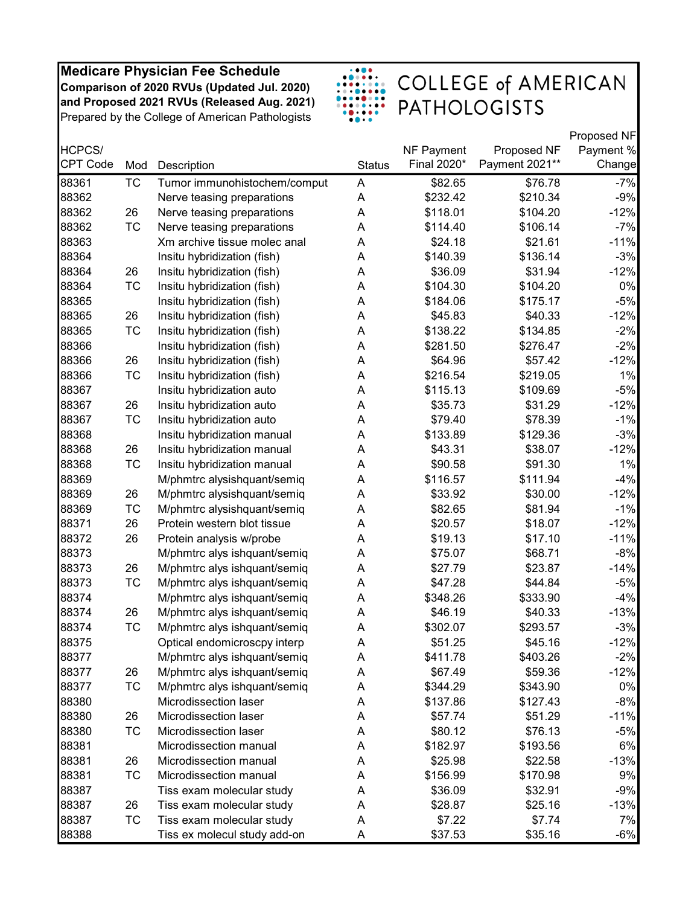

|                 |           |                              |               |             |                | Proposed NF |
|-----------------|-----------|------------------------------|---------------|-------------|----------------|-------------|
| HCPCS/          |           |                              |               | NF Payment  | Proposed NF    | Payment %   |
| <b>CPT Code</b> | Mod       | Description                  | <b>Status</b> | Final 2020* | Payment 2021** | Change      |
| 88361           | <b>TC</b> | Tumor immunohistochem/comput | A             | \$82.65     | \$76.78        | $-7%$       |
| 88362           |           | Nerve teasing preparations   | A             | \$232.42    | \$210.34       | $-9%$       |
| 88362           | 26        | Nerve teasing preparations   | A             | \$118.01    | \$104.20       | $-12%$      |
| 88362           | TC        | Nerve teasing preparations   | Α             | \$114.40    | \$106.14       | $-7%$       |
| 88363           |           | Xm archive tissue molec anal | Α             | \$24.18     | \$21.61        | $-11%$      |
| 88364           |           | Insitu hybridization (fish)  | Α             | \$140.39    | \$136.14       | $-3%$       |
| 88364           | 26        | Insitu hybridization (fish)  | A             | \$36.09     | \$31.94        | $-12%$      |
| 88364           | <b>TC</b> | Insitu hybridization (fish)  | A             | \$104.30    | \$104.20       | 0%          |
| 88365           |           | Insitu hybridization (fish)  | Α             | \$184.06    | \$175.17       | $-5%$       |
| 88365           | 26        | Insitu hybridization (fish)  | Α             | \$45.83     | \$40.33        | $-12%$      |
| 88365           | TC        | Insitu hybridization (fish)  | A             | \$138.22    | \$134.85       | $-2%$       |
| 88366           |           | Insitu hybridization (fish)  | A             | \$281.50    | \$276.47       | $-2%$       |
| 88366           | 26        | Insitu hybridization (fish)  | A             | \$64.96     | \$57.42        | $-12%$      |
| 88366           | <b>TC</b> | Insitu hybridization (fish)  | A             | \$216.54    | \$219.05       | 1%          |
| 88367           |           | Insitu hybridization auto    | Α             | \$115.13    | \$109.69       | $-5%$       |
| 88367           | 26        | Insitu hybridization auto    | Α             | \$35.73     | \$31.29        | $-12%$      |
| 88367           | <b>TC</b> | Insitu hybridization auto    | Α             | \$79.40     | \$78.39        | $-1%$       |
| 88368           |           | Insitu hybridization manual  | A             | \$133.89    | \$129.36       | $-3%$       |
| 88368           | 26        | Insitu hybridization manual  | A             | \$43.31     | \$38.07        | $-12%$      |
| 88368           | <b>TC</b> | Insitu hybridization manual  | A             | \$90.58     | \$91.30        | 1%          |
| 88369           |           | M/phmtrc alysishquant/semiq  | A             | \$116.57    | \$111.94       | $-4%$       |
| 88369           | 26        | M/phmtrc alysishquant/semiq  | Α             | \$33.92     | \$30.00        | $-12%$      |
| 88369           | <b>TC</b> | M/phmtrc alysishquant/semiq  | Α             | \$82.65     | \$81.94        | $-1%$       |
| 88371           | 26        | Protein western blot tissue  | A             | \$20.57     | \$18.07        | $-12%$      |
| 88372           | 26        | Protein analysis w/probe     | A             | \$19.13     | \$17.10        | $-11%$      |
| 88373           |           | M/phmtrc alys ishquant/semiq | Α             | \$75.07     | \$68.71        | $-8%$       |
| 88373           | 26        | M/phmtrc alys ishquant/semiq | A             | \$27.79     | \$23.87        | $-14%$      |
| 88373           | <b>TC</b> | M/phmtrc alys ishquant/semiq | Α             | \$47.28     | \$44.84        | $-5%$       |
| 88374           |           | M/phmtrc alys ishquant/semiq | A             | \$348.26    | \$333.90       | $-4%$       |
| 88374           | 26        | M/phmtrc alys ishquant/semiq | Α             | \$46.19     | \$40.33        | $-13%$      |
| 88374           | <b>TC</b> | M/phmtrc alys ishquant/semiq | Α             | \$302.07    | \$293.57       | $-3%$       |
| 88375           |           | Optical endomicroscpy interp | Α             | \$51.25     | \$45.16        | $-12%$      |
| 88377           |           | M/phmtrc alys ishquant/semiq | A             | \$411.78    | \$403.26       | $-2%$       |
| 88377           | 26        | M/phmtrc alys ishquant/semiq | A             | \$67.49     | \$59.36        | $-12%$      |
| 88377           | TC        | M/phmtrc alys ishquant/semiq | A             | \$344.29    | \$343.90       | $0\%$       |
| 88380           |           | Microdissection laser        | A             | \$137.86    | \$127.43       | $-8%$       |
| 88380           | 26        | Microdissection laser        | A             | \$57.74     | \$51.29        | $-11%$      |
| 88380           | TC        | Microdissection laser        | A             | \$80.12     | \$76.13        | $-5%$       |
| 88381           |           | Microdissection manual       | Α             | \$182.97    | \$193.56       | 6%          |
| 88381           | 26        | Microdissection manual       | A             | \$25.98     | \$22.58        | $-13%$      |
| 88381           | TC        | Microdissection manual       | A             | \$156.99    | \$170.98       | 9%          |
| 88387           |           | Tiss exam molecular study    | A             | \$36.09     | \$32.91        | $-9%$       |
| 88387           | 26        | Tiss exam molecular study    | A             | \$28.87     | \$25.16        | $-13%$      |
| 88387           | TC        | Tiss exam molecular study    | A             | \$7.22      | \$7.74         | 7%          |
| 88388           |           | Tiss ex molecul study add-on | A             | \$37.53     | \$35.16        | -6%         |